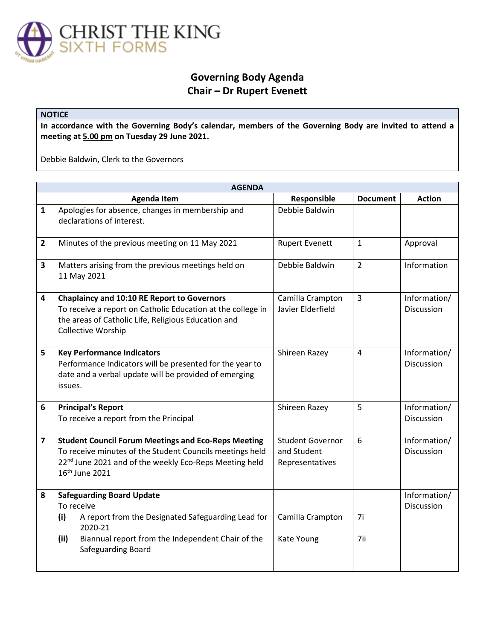

## **Governing Body Agenda Chair – Dr Rupert Evenett**

## **NOTICE**

**In accordance with the Governing Body's calendar, members of the Governing Body are invited to attend a meeting at 5.00 pm on Tuesday 29 June 2021.** 

Debbie Baldwin, Clerk to the Governors

| <b>AGENDA</b>  |                                                                                                                                                                                                                            |                                                           |                 |                                   |  |  |
|----------------|----------------------------------------------------------------------------------------------------------------------------------------------------------------------------------------------------------------------------|-----------------------------------------------------------|-----------------|-----------------------------------|--|--|
|                | <b>Agenda Item</b>                                                                                                                                                                                                         | Responsible                                               | <b>Document</b> | <b>Action</b>                     |  |  |
| $\mathbf{1}$   | Apologies for absence, changes in membership and<br>declarations of interest.                                                                                                                                              | Debbie Baldwin                                            |                 |                                   |  |  |
| $\overline{2}$ | Minutes of the previous meeting on 11 May 2021                                                                                                                                                                             | <b>Rupert Evenett</b>                                     | $\mathbf{1}$    | Approval                          |  |  |
| 3              | Matters arising from the previous meetings held on<br>11 May 2021                                                                                                                                                          | Debbie Baldwin                                            | $\overline{2}$  | Information                       |  |  |
| 4              | <b>Chaplaincy and 10:10 RE Report to Governors</b><br>To receive a report on Catholic Education at the college in<br>the areas of Catholic Life, Religious Education and<br><b>Collective Worship</b>                      | Camilla Crampton<br>Javier Elderfield                     | $\overline{3}$  | Information/<br><b>Discussion</b> |  |  |
| 5              | <b>Key Performance Indicators</b><br>Performance Indicators will be presented for the year to<br>date and a verbal update will be provided of emerging<br>issues.                                                          | Shireen Razey                                             | $\overline{4}$  | Information/<br>Discussion        |  |  |
| 6              | <b>Principal's Report</b><br>To receive a report from the Principal                                                                                                                                                        | Shireen Razey                                             | 5               | Information/<br>Discussion        |  |  |
| $\overline{7}$ | <b>Student Council Forum Meetings and Eco-Reps Meeting</b><br>To receive minutes of the Student Councils meetings held<br>22 <sup>nd</sup> June 2021 and of the weekly Eco-Reps Meeting held<br>16 <sup>th</sup> June 2021 | <b>Student Governor</b><br>and Student<br>Representatives | 6               | Information/<br>Discussion        |  |  |
| 8              | <b>Safeguarding Board Update</b><br>To receive<br>A report from the Designated Safeguarding Lead for<br>(i)<br>2020-21<br>(ii)<br>Biannual report from the Independent Chair of the<br>Safeguarding Board                  | Camilla Crampton<br>Kate Young                            | 7i<br>7ii       | Information/<br>Discussion        |  |  |